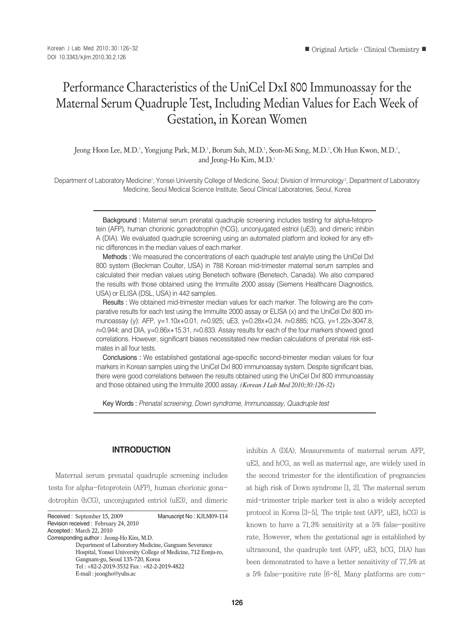# Performance Characteristics of the UniCel DxI 800 Immunoassay for the Maternal Serum Quadruple Test, Including Median Values for Each Week of Gestation, in Korean Women

Jeong Hoon Lee, M.D.<sup>1</sup>, Yongjung Park, M.D.<sup>1</sup>, Borum Suh, M.D.<sup>1</sup>, Seon-Mi Song, M.D.<sup>2</sup>, Oh Hun Kwon, M.D.<sup>1</sup>, and Jeong-Ho Kim, M.D.<sup>1</sup>

Department of Laboratory Medicine', Yonsei University College of Medicine, Seoul; Division of Immunology?, Department of Laboratory Medicine, Seoul Medical Science Institute, Seoul Clinical Laboratories, Seoul, Korea

> Background : Maternal serum prenatal quadruple screening includes testing for alpha-fetoprotein (AFP), human chorionic gonadotrophin (hCG), unconjugated estriol (uE3), and dimeric inhibin A (DIA). We evaluated quadruple screening using an automated platform and looked for any ethnic differences in the median values of each marker.

> Methods : We measured the concentrations of each quadruple test analyte using the UniCel DxI 800 system (Beckman Coulter, USA) in 788 Korean mid-trimester maternal serum samples and calculated their median values using Benetech software (Benetech, Canada). We also compared the results with those obtained using the Immulite 2000 assay (Siemens Healthcare Diagnostics, USA) or ELISA (DSL, USA) in 442 samples.

> Results : We obtained mid-trimester median values for each marker. The following are the comparative results for each test using the Immulite 2000 assay or ELISA (x) and the UniCel DxI 800 immunoassay (y): AFP, y=1.10x+0.01, *r*=0.925; uE3, y=0.28x+0.24, *r*=0.885; hCG, y=1.22x-3047.8, *r*=0.944; and DIA, y=0.86x+15.31, *r*=0.833. Assay results for each of the four markers showed good correlations. However, significant biases necessitated new median calculations of prenatal risk estimates in all four tests.

> Conclusions : We established gestational age-specific second-trimester median values for four markers in Korean samples using the UniCel DxI 800 immunoassay system. Despite significant bias, there were good correlations between the results obtained using the UniCel DxI 800 immunoassay and those obtained using the Immulite 2000 assay. *(Korean J Lab Med 2010;30:126-32)*

Key Words : *Prenatal screening, Down syndrome, Immunoassay, Quadruple test*

#### **INTRODUCTION**

Maternal serum prenatal quadruple screening includes tests for alpha-fetoprotein (AFP), human chorionic gonadotrophin (hCG), unconjugated estriol (uE3), and dimeric

Received : September 15, 2009 Manuscript No : KJLM09-114 Revision received : February 24, 2010 Accepted : March 22, 2010 Corresponding author : Jeong-Ho Kim, M.D. Department of Laboratory Medicine, Gangnam Severance Hospital, Yonsei University College of Medicine, 712 Eonju-ro, Gangnam-gu, Seoul 135-720, Korea Tel : +82-2-2019-3532 Fax : +82-2-2019-4822 E-mail : jeongho@yuhs.ac

inhibin A (DIA). Measurements of maternal serum AFP, uE3, and hCG, as well as maternal age, are widely used in the second trimester for the identification of pregnancies at high risk of Down syndrome [1, 2]. The maternal serum mid-trimester triple marker test is also a widely accepted protocol in Korea [3-5]. The triple test (AFP, uE3, hCG) is known to have a 71.3% sensitivity at a 5% false-positive rate. However, when the gestational age is established by ultrasound, the quadruple test (AFP, uE3, hCG, DIA) has been demonstrated to have a better sensitivity of 77.5% at a 5% false-positive rate [6-8]. Many platforms are com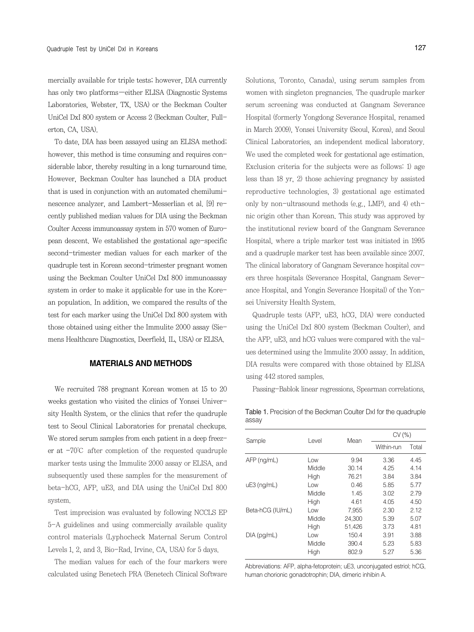mercially available for triple tests; however, DIA currently has only two platforms-either ELISA (Diagnostic Systems Laboratories, Webster, TX, USA) or the Beckman Coulter UniCel DxI 800 system or Access 2 (Beckman Coulter, Fullerton, CA, USA).

To date, DIA has been assayed using an ELISA method; however, this method is time consuming and requires considerable labor, thereby resulting in a long turnaround time. However, Beckman Coulter has launched a DIA product that is used in conjunction with an automated chemiluminescence analyzer, and Lambert-Messerlian et al. [9] recently published median values for DIA using the Beckman Coulter Access immunoassay system in 570 women of European descent. We established the gestational age-specific second-trimester median values for each marker of the quadruple test in Korean second-trimester pregnant women using the Beckman Coulter UniCel DxI 800 immunoassay system in order to make it applicable for use in the Korean population. In addition, we compared the results of the test for each marker using the UniCel DxI 800 system with those obtained using either the Immulite 2000 assay (Siemens Healthcare Diagnostics, Deerfield, IL, USA) or ELISA.

### **MATERIALS AND METHODS**

We recruited 788 pregnant Korean women at 15 to 20 weeks gestation who visited the clinics of Yonsei University Health System, or the clinics that refer the quadruple test to Seoul Clinical Laboratories for prenatal checkups. We stored serum samples from each patient in a deep freezer at -70℃ after completion of the requested quadruple marker tests using the Immulite 2000 assay or ELISA, and subsequently used these samples for the measurement of beta-hCG, AFP, uE3, and DIA using the UniCel DxI 800 system.

Test imprecision was evaluated by following NCCLS EP 5-A guidelines and using commercially available quality control materials (Lyphocheck Maternal Serum Control Levels 1, 2, and 3, Bio-Rad, Irvine, CA, USA) for 5 days.

The median values for each of the four markers were calculated using Benetech PRA (Benetech Clinical Software Solutions, Toronto, Canada), using serum samples from women with singleton pregnancies. The quadruple marker serum screening was conducted at Gangnam Severance Hospital (formerly Yongdong Severance Hospital, renamed in March 2009), Yonsei University (Seoul, Korea), and Seoul Clinical Laboratories, an independent medical laboratory. We used the completed week for gestational age estimation. Exclusion criteria for the subjects were as follows: 1) age less than 18 yr, 2) those achieving pregnancy by assisted reproductive technologies, 3) gestational age estimated only by non-ultrasound methods (e.g., LMP), and 4) ethnic origin other than Korean. This study was approved by the institutional review board of the Gangnam Severance Hospital, where a triple marker test was initiated in 1995 and a quadruple marker test has been available since 2007. The clinical laboratory of Gangnam Severance hospital covers three hospitals (Severance Hospital, Gangnam Severance Hospital, and Yongin Severance Hospital) of the Yonsei University Health System.

Quadruple tests (AFP, uE3, hCG, DIA) were conducted using the UniCel DxI 800 system (Beckman Coulter), and the AFP, uE3, and hCG values were compared with the values determined using the Immulite 2000 assay. In addition, DIA results were compared with those obtained by ELISA using 442 stored samples.

Passing-Bablok linear regressions, Spearman correlations,

Table 1. Precision of the Beckman Coulter DxI for the quadruple assay

|                  | Level  | Mean   | CV(%)      |       |  |
|------------------|--------|--------|------------|-------|--|
| Sample           |        |        | Within-run | Total |  |
| $AFP$ (ng/mL)    | Low    | 9.94   | 3.36       | 4.45  |  |
|                  | Middle | 30.14  | 4.25       | 4.14  |  |
|                  | High   | 76.21  | 3.84       | 3.84  |  |
| $uE3$ (ng/mL)    | Low    | 0.46   | 5.85       | 5.77  |  |
|                  | Middle | 1.45   | 3.02       | 2.79  |  |
|                  | High   | 4.61   | 4.05       | 4.50  |  |
| Beta-hCG (IU/mL) | Low    | 7,955  | 2.30       | 2.12  |  |
|                  | Middle | 24.300 | 5.39       | 5.07  |  |
|                  | High   | 51,426 | 3.73       | 4.81  |  |
| $DIA$ (pg/mL)    | Low    | 150.4  | 3.91       | 3.88  |  |
|                  | Middle | 390.4  | 5.23       | 5.83  |  |
|                  | High   | 802.9  | 5.27       | 5.36  |  |

Abbreviations: AFP, alpha-fetoprotein; uE3, unconjugated estriol; hCG, human chorionic gonadotrophin; DIA, dimeric inhibin A.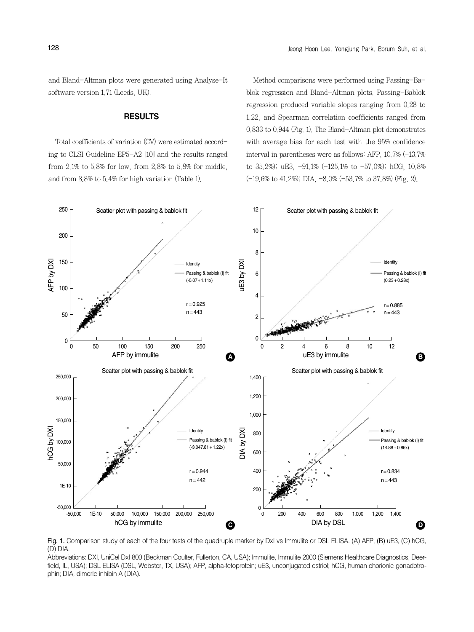and Bland-Altman plots were generated using Analyse-It software version 1.71 (Leeds, UK).

#### **RESULTS**

Total coefficients of variation (CV) were estimated according to CLSI Guideline EP5-A2 [10] and the results ranged from 2.1% to 5.8% for low, from 2.8% to 5.8% for middle, and from 3.8% to 5.4% for high variation (Table 1).

Method comparisons were performed using Passing-Bablok regression and Bland-Altman plots. Passing-Bablok regression produced variable slopes ranging from 0.28 to 1.22, and Spearman correlation coefficients ranged from 0.833 to 0.944 (Fig. 1). The Bland-Altman plot demonstrates with average bias for each test with the 95% confidence interval in parentheses were as follows: AFP, 10.7% (-13.7% to 35.2%); uE3, -91.1% (-125.1% to -57.0%); hCG, 10.8% (-19.6% to 41.2%); DIA, -8.0% (-53.7% to 37.8%) (Fig. 2).



Fig. 1. Comparison study of each of the four tests of the quadruple marker by DxI vs Immulite or DSL ELISA. (A) AFP, (B) uE3, (C) hCG, (D) DIA.

Abbreviations: DXI, UniCel DxI 800 (Beckman Coulter, Fullerton, CA, USA); Immulite, Immulite 2000 (Siemens Healthcare Diagnostics, Deerfield, IL, USA); DSL ELISA (DSL, Webster, TX, USA); AFP, alpha-fetoprotein; uE3, unconjugated estriol; hCG, human chorionic gonadotro-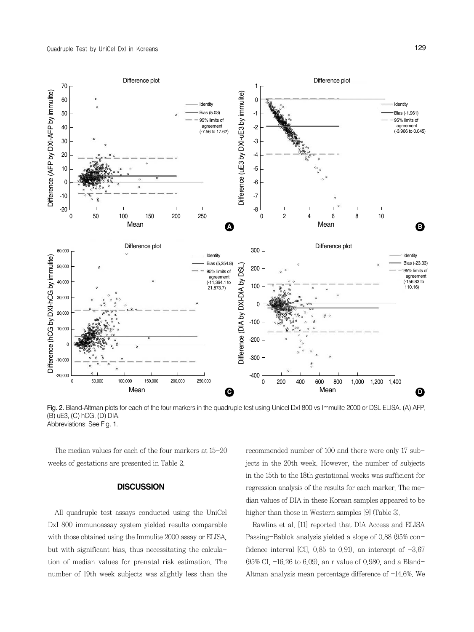

Fig. 2. Bland-Altman plots for each of the four markers in the quadruple test using Unicel DxI 800 vs Immulite 2000 or DSL ELISA. (A) AFP, (B) uE3, (C) hCG, (D) DIA.

The median values for each of the four markers at 15-20 weeks of gestations are presented in Table 2.

#### **DISCUSSION**

All quadruple test assays conducted using the UniCel DxI 800 immunoassay system yielded results comparable with those obtained using the Immulite 2000 assay or ELISA, but with significant bias, thus necessitating the calculation of median values for prenatal risk estimation. The number of 19th week subjects was slightly less than the

recommended number of 100 and there were only 17 subjects in the 20th week. However, the number of subjects in the 15th to the 18th gestational weeks was sufficient for regression analysis of the results for each marker. The median values of DIA in these Korean samples appeared to be higher than those in Western samples [9] (Table 3).

Rawlins et al. [11] reported that DIA Access and ELISA Passing-Bablok analysis yielded a slope of 0.88 (95% confidence interval [CI],  $0.85$  to 0.91), an intercept of  $-3.67$ (95% CI, -16.26 to 6.09), an r value of 0.980, and a Bland-Altman analysis mean percentage difference of  $-14.6\%$ . We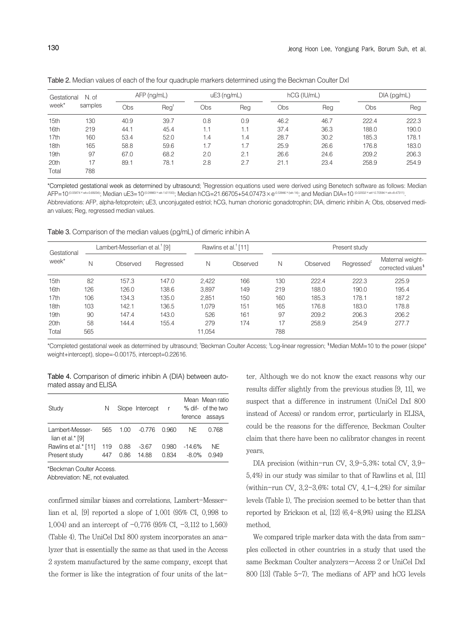| Gestational<br>week* | N. of   |      | $AFP$ (ng/mL)          | hCG (IU/mL)<br>$uE3$ (ng/mL) |     |      | $DIA$ (pg/mL) |       |       |
|----------------------|---------|------|------------------------|------------------------------|-----|------|---------------|-------|-------|
|                      | samples | Obs  | $\text{Re} \texttt{q}$ | Obs                          | Reg | Obs  | Reg           | Obs   | Reg   |
| 15th                 | 130     | 40.9 | 39.7                   | 0.8                          | 0.9 | 46.2 | 46.7          | 222.4 | 222.3 |
| 16th                 | 219     | 44.1 | 45.4                   | 1.1                          | 1.1 | 37.4 | 36.3          | 188.0 | 190.0 |
| 17th                 | 160     | 53.4 | 52.0                   | 1.4                          | 1.4 | 28.7 | 30.2          | 185.3 | 178.1 |
| 18th                 | 165     | 58.8 | 59.6                   | 1.7                          | 1.7 | 25.9 | 26.6          | 176.8 | 183.0 |
| 19th                 | 97      | 67.0 | 68.2                   | 2.0                          | 2.1 | 26.6 | 24.6          | 209.2 | 206.3 |
| 20th                 | 17      | 89.1 | 78.1                   | 2.8                          | 2.7 | 21.1 | 23.4          | 258.9 | 254.9 |
| Total                | 788     |      |                        |                              |     |      |               |       |       |

Table 2. Median values of each of the four quadruple markers determined using the Beckman Coulter DxI

\*Completed gestational week as determined by ultrasound; � Regression equations used were derived using Benetech software as follows: Median AFP=10<sup>(0.05874×wk+0.69234)</sup>; Median uE3=10<sup>(0.09983×wk-1.61100)</sup>; Median hCG=21.66705+54.07473×e<sup>0.53946×(wk-14</sup>); and Median DIA=10 <sup>(0.02002×wk-8.47311)</sup> Abbreviations: AFP, alpha-fetoprotein; uE3, unconjugated estriol; hCG, human chorionic gonadotrophin; DIA, dimeric inhibin A; Obs, observed median values; Reg, regressed median values.

Table 3. Comparison of the median values (pg/mL) of dimeric inhibin A

| Gestational |     | Lambert-Messerlian et al. <sup>†</sup> [9] |           |        | Rawlins et al. <sup>†</sup> [11] |     | Present study |                        |                                                    |  |
|-------------|-----|--------------------------------------------|-----------|--------|----------------------------------|-----|---------------|------------------------|----------------------------------------------------|--|
| week*       | Ν   | Observed                                   | Regressed | N      | Observed                         | Ν   | Observed      | Regressed <sup>®</sup> | Maternal weight-<br>corrected values <sup>\$</sup> |  |
| 15th        | 82  | 157.3                                      | 147.0     | 2.422  | 166                              | 130 | 222.4         | 222.3                  | 225.9                                              |  |
| 16th        | 126 | 126.0                                      | 138.6     | 3.897  | 149                              | 219 | 188.0         | 190.0                  | 195.4                                              |  |
| 17th        | 106 | 134.3                                      | 135.0     | 2.851  | 150                              | 160 | 185.3         | 178.1                  | 187.2                                              |  |
| 18th        | 103 | 142.1                                      | 136.5     | 1.079  | 151                              | 165 | 176.8         | 183.0                  | 178.8                                              |  |
| 19th        | 90  | 147.4                                      | 143.0     | 526    | 161                              | 97  | 209.2         | 206.3                  | 206.2                                              |  |
| 20th        | 58  | 144.4                                      | 155.4     | 279    | 174                              | 17  | 258.9         | 254.9                  | 277.7                                              |  |
| Total       | 565 |                                            |           | 11,054 |                                  | 788 |               |                        |                                                    |  |

\*Completed gestational week as determined by ultrasound; � Beckman Coulter Access; � Log-linear regression; � Median MoM=10 to the power (slope\* weight+intercept), slope=-0.00175, intercept=0.22616.

Table 4. Comparison of dimeric inhibin A (DIA) between automated assay and ELISA

| Study                                  | N          |              | Slope Intercept  | $\mathsf{r}$   |                   | Mean Mean ratio<br>% dif- of the two<br>ference assays |
|----------------------------------------|------------|--------------|------------------|----------------|-------------------|--------------------------------------------------------|
| Lambert-Messer-<br>lian et al. $*$ [9] | 565        | 1.00         | -0.776 0.960     |                | NE.               | 0.768                                                  |
| Rawlins et al.* [11]<br>Present study  | 119<br>447 | 0.88<br>0.86 | $-3.67$<br>14.88 | 0.980<br>0.834 | $-14.6%$<br>-8.0% | NE<br>O 949                                            |

\*Beckman Coulter Access.

Abbreviation: NE, not evaluated.

confirmed similar biases and correlations. Lambert-Messerlian et al. [9] reported a slope of 1.001 (95% CI, 0.998 to 1.004) and an intercept of -0.776 (95% CI, -3.112 to 1.560) (Table 4). The UniCel DxI 800 system incorporates an analyzer that is essentially the same as that used in the Access 2 system manufactured by the same company, except that the former is like the integration of four units of the lat-

ter. Although we do not know the exact reasons why our results differ slightly from the previous studies [9, 11], we suspect that a difference in instrument (UniCel DxI 800 instead of Access) or random error, particularly in ELISA, could be the reasons for the difference. Beckman Coulter claim that there have been no calibrator changes in recent years.

DIA precision (within-run CV, 3.9-5.3%; total CV, 3.9- 5.4%) in our study was similar to that of Rawlins et al. [11] (within-run CV,  $3.2-3.6\%$ ; total CV,  $4.1-4.2\%$ ) for similar levels (Table 1). The precision seemed to be better than that reported by Erickson et al. [12] (6.4-8.9%) using the ELISA method.

We compared triple marker data with the data from samples collected in other countries in a study that used the same Beckman Coulter analyzers-Access 2 or UniCel DxI 800 [13] (Table 5-7). The medians of AFP and hCG levels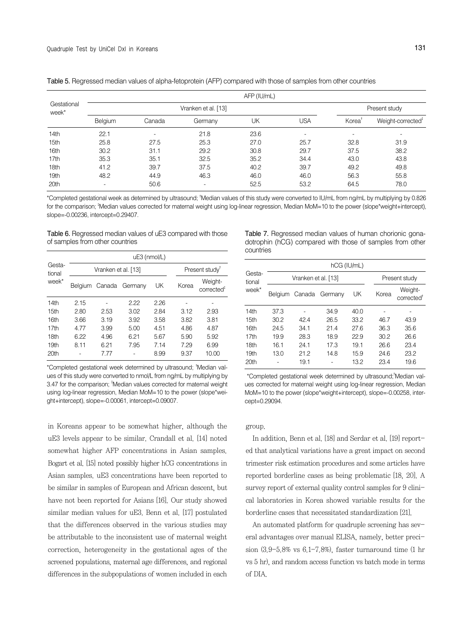| Gestational<br>week* | AFP (IU/mL)              |                          |                          |      |                          |                          |                               |  |  |
|----------------------|--------------------------|--------------------------|--------------------------|------|--------------------------|--------------------------|-------------------------------|--|--|
|                      |                          |                          | Present study            |      |                          |                          |                               |  |  |
|                      | Belgium                  | Canada                   | Germany                  | UK   | USA                      | Korea <sup>1</sup>       | Weight-corrected <sup>#</sup> |  |  |
| 14th                 | 22.1                     | $\overline{\phantom{0}}$ | 21.8                     | 23.6 | $\overline{\phantom{a}}$ | $\overline{\phantom{a}}$ |                               |  |  |
| 15th                 | 25.8                     | 27.5                     | 25.3                     | 27.0 | 25.7                     | 32.8                     | 31.9                          |  |  |
| 16th                 | 30.2                     | 31.1                     | 29.2                     | 30.8 | 29.7                     | 37.5                     | 38.2                          |  |  |
| 17th                 | 35.3                     | 35.1                     | 32.5                     | 35.2 | 34.4                     | 43.0                     | 43.8                          |  |  |
| 18th                 | 41.2                     | 39.7                     | 37.5                     | 40.2 | 39.7                     | 49.2                     | 49.8                          |  |  |
| 19th                 | 48.2                     | 44.9                     | 46.3                     | 46.0 | 46.0                     | 56.3                     | 55.8                          |  |  |
| 20th                 | $\overline{\phantom{0}}$ | 50.6                     | $\overline{\phantom{a}}$ | 52.5 | 53.2                     | 64.5                     | 78.0                          |  |  |

Table 5. Regressed median values of alpha-fetoprotein (AFP) compared with those of samples from other countries

\*Completed gestational week as determined by ultrasound; � Median values of this study were converted to IU/mL from ng/mL by multiplying by 0.826 for the comparison; <sup>1</sup>Median values corrected for maternal weight using log-linear regression, Median MoM=10 to the power (slope\*weight+intercept), slope=-0.00236, intercept=0.29407.

Table 6. Regressed median values of uE3 compared with those of samples from other countries

|                  | uE3 (nmol/L) |                     |                        |                            |       |                                   |  |
|------------------|--------------|---------------------|------------------------|----------------------------|-------|-----------------------------------|--|
| Gesta-<br>tional |              | Vranken et al. [13] |                        | Present study <sup>T</sup> |       |                                   |  |
| week*            |              |                     | Belgium Canada Germany | UK                         | Korea | Weight-<br>corrected <sup>#</sup> |  |
| 14th             | 2.15         |                     | 2.22                   | 2.26                       |       |                                   |  |
| 15 <sub>th</sub> | 2.80         | 2.53                | 3.02                   | 2.84                       | 3.12  | 2.93                              |  |
| 16th             | 3.66         | 3.19                | 3.92                   | 3.58                       | 3.82  | 3.81                              |  |
| 17th             | 4.77         | 3.99                | 5.00                   | 4.51                       | 4.86  | 4.87                              |  |
| 18th             | 6.22         | 4.96                | 6.21                   | 5.67                       | 5.90  | 5.92                              |  |
| 19 <sub>th</sub> | 8.11         | 6.21                | 7.95                   | 7 14                       | 7.29  | 6.99                              |  |
| 20 <sup>th</sup> |              | 7.77                |                        | 8.99                       | 9.37  | 10.00                             |  |

\*Completed gestational week determined by ultrasound; <sup>†</sup>Median values of this study were converted to nmol/L from ng/mL by multiplying by 3.47 for the comparison; <sup>\*</sup>Median values corrected for maternal weight using log-linear regression, Median MoM=10 to the power (slope\*weight+intercept), slope=-0.00061, intercept=0.09007.

in Koreans appear to be somewhat higher, although the uE3 levels appear to be similar. Crandall et al. [14] noted somewhat higher AFP concentrations in Asian samples. Bogart et al. [15] noted possibly higher hCG concentrations in Asian samples. uE3 concentrations have been reported to be similar in samples of European and African descent, but have not been reported for Asians [16]. Our study showed similar median values for uE3. Benn et al. [17] postulated that the differences observed in the various studies may be attributable to the inconsistent use of maternal weight correction, heterogeneity in the gestational ages of the screened populations, maternal age differences, and regional differences in the subpopulations of women included in each

Table 7. Regressed median values of human chorionic gonadotrophin (hCG) compared with those of samples from other countries

| Gesta-<br>tional<br>week* | hCG (IU/mL) |                     |                        |               |       |                                   |  |  |  |
|---------------------------|-------------|---------------------|------------------------|---------------|-------|-----------------------------------|--|--|--|
|                           |             | Vranken et al. [13] |                        | Present study |       |                                   |  |  |  |
|                           |             |                     | Belgium Canada Germany | UK            | Korea | Weight-<br>corrected <sup>®</sup> |  |  |  |
| 14th                      | 37.3        |                     | 34.9                   | 40.0          |       |                                   |  |  |  |
| 15th                      | 30.2        | 42.4                | 26.5                   | 33.2          | 46.7  | 43.9                              |  |  |  |
| 16th                      | 24.5        | 34.1                | 21.4                   | 27.6          | 36.3  | 35.6                              |  |  |  |
| 17th                      | 19.9        | 28.3                | 18.9                   | 22.9          | 30.2  | 26.6                              |  |  |  |
| 18th                      | 16.1        | 24.1                | 17.3                   | 19.1          | 26.6  | 23.4                              |  |  |  |
| 19th                      | 13.0        | 21.2                | 14.8                   | 15.9          | 24.6  | 23.2                              |  |  |  |
| 20th                      |             | 19.1                |                        | 13.2          | 23.4  | 19.6                              |  |  |  |
|                           |             |                     |                        |               |       |                                   |  |  |  |

\*Completed gestational week determined by ultrasound;<sup>†</sup>Median values corrected for maternal weight using log-linear regression, Median MoM=10 to the power (slope\*weight+intercept), slope=-0.00258, intercept=0.29094.

#### group.

In addition, Benn et al. [18] and Serdar et al. [19] reported that analytical variations have a great impact on second trimester risk estimation procedures and some articles have reported borderline cases as being problematic [18, 20]. A survey report of external quality control samples for 9 clinical laboratories in Korea showed variable results for the borderline cases that necessitated standardization [21].

An automated platform for quadruple screening has several advantages over manual ELISA, namely, better precision  $(3.9-5.8\%$  vs  $6.1-7.8\%)$  faster turnaround time  $(1 \text{ hr})$ vs 5 hr), and random access function vs batch mode in terms of DIA.